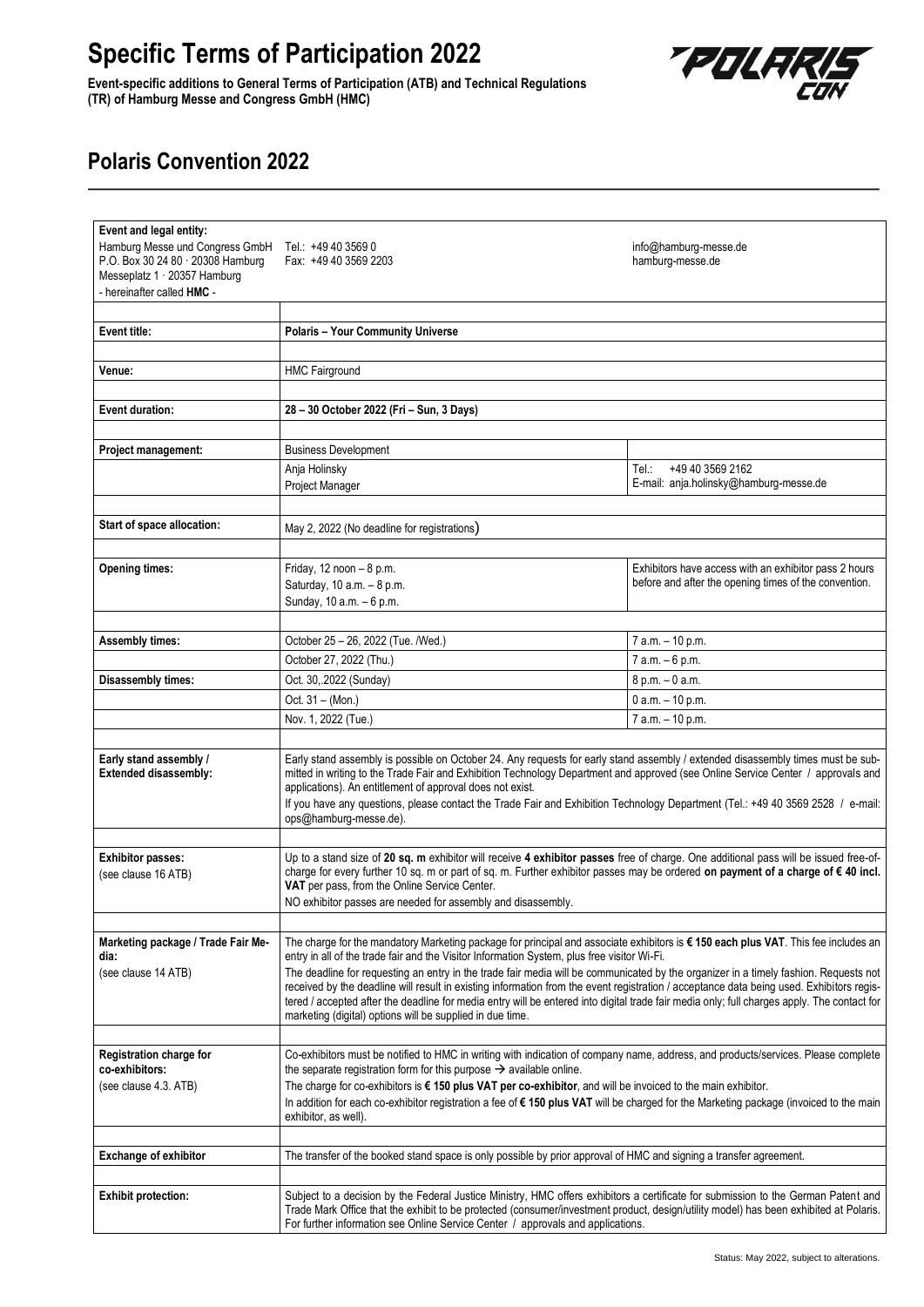## **Specific Terms of Participation 2022**

**Event-specific additions to General Terms of Participation (ATB) and Technical Regulations (TR) of Hamburg Messe and Congress GmbH (HMC)**



## **Polaris Convention 2022**

| Event and legal entity:                                           |                                                                                                                                                                                                                                                                                  |                                                       |
|-------------------------------------------------------------------|----------------------------------------------------------------------------------------------------------------------------------------------------------------------------------------------------------------------------------------------------------------------------------|-------------------------------------------------------|
| Hamburg Messe und Congress GmbH                                   | Tel.: +49 40 3569 0                                                                                                                                                                                                                                                              | info@hamburg-messe.de                                 |
| P.O. Box 30 24 80 · 20308 Hamburg<br>Messeplatz 1 · 20357 Hamburg | Fax: +49 40 3569 2203                                                                                                                                                                                                                                                            | hamburg-messe.de                                      |
| - hereinafter called HMC -                                        |                                                                                                                                                                                                                                                                                  |                                                       |
|                                                                   |                                                                                                                                                                                                                                                                                  |                                                       |
| Event title:                                                      | <b>Polaris - Your Community Universe</b>                                                                                                                                                                                                                                         |                                                       |
|                                                                   |                                                                                                                                                                                                                                                                                  |                                                       |
| Venue:                                                            | <b>HMC Fairground</b>                                                                                                                                                                                                                                                            |                                                       |
|                                                                   |                                                                                                                                                                                                                                                                                  |                                                       |
| Event duration:                                                   | 28 - 30 October 2022 (Fri - Sun, 3 Days)                                                                                                                                                                                                                                         |                                                       |
| Project management:                                               | <b>Business Development</b>                                                                                                                                                                                                                                                      |                                                       |
|                                                                   | Anja Holinsky                                                                                                                                                                                                                                                                    | +49 40 3569 2162<br>Tel.:                             |
|                                                                   | Project Manager                                                                                                                                                                                                                                                                  | E-mail: anja.holinsky@hamburg-messe.de                |
|                                                                   |                                                                                                                                                                                                                                                                                  |                                                       |
| Start of space allocation:                                        | May 2, 2022 (No deadline for registrations)                                                                                                                                                                                                                                      |                                                       |
|                                                                   |                                                                                                                                                                                                                                                                                  |                                                       |
| <b>Opening times:</b>                                             | Friday, 12 noon - 8 p.m.                                                                                                                                                                                                                                                         | Exhibitors have access with an exhibitor pass 2 hours |
|                                                                   | Saturday, 10 a.m. - 8 p.m.                                                                                                                                                                                                                                                       | before and after the opening times of the convention. |
|                                                                   | Sunday, 10 a.m. - 6 p.m.                                                                                                                                                                                                                                                         |                                                       |
|                                                                   |                                                                                                                                                                                                                                                                                  |                                                       |
| <b>Assembly times:</b>                                            | October 25 - 26, 2022 (Tue. /Wed.)                                                                                                                                                                                                                                               | 7 a.m. - 10 p.m.                                      |
|                                                                   | October 27, 2022 (Thu.)                                                                                                                                                                                                                                                          | 7 a.m. - 6 p.m.                                       |
| <b>Disassembly times:</b>                                         | Oct. 30, 2022 (Sunday)                                                                                                                                                                                                                                                           | 8 p.m. - 0 a.m.                                       |
|                                                                   | Oct. 31 - (Mon.)<br>Nov. 1, 2022 (Tue.)                                                                                                                                                                                                                                          | 0 a.m. - 10 p.m.<br>7 a.m. - 10 p.m.                  |
|                                                                   |                                                                                                                                                                                                                                                                                  |                                                       |
| Early stand assembly /                                            | Early stand assembly is possible on October 24. Any requests for early stand assembly / extended disassembly times must be sub-                                                                                                                                                  |                                                       |
| Extended disassembly:                                             | mitted in writing to the Trade Fair and Exhibition Technology Department and approved (see Online Service Center / approvals and                                                                                                                                                 |                                                       |
|                                                                   | applications). An entitlement of approval does not exist.                                                                                                                                                                                                                        |                                                       |
|                                                                   | If you have any questions, please contact the Trade Fair and Exhibition Technology Department (Tel.: +49 40 3569 2528 / e-mail:<br>ops@hamburg-messe.de).                                                                                                                        |                                                       |
|                                                                   |                                                                                                                                                                                                                                                                                  |                                                       |
| <b>Exhibitor passes:</b>                                          | Up to a stand size of 20 sq. m exhibitor will receive 4 exhibitor passes free of charge. One additional pass will be issued free-of-                                                                                                                                             |                                                       |
| (see clause 16 ATB)                                               | charge for every further 10 sq. m or part of sq. m. Further exhibitor passes may be ordered on payment of a charge of € 40 incl.<br>VAT per pass, from the Online Service Center.                                                                                                |                                                       |
|                                                                   | NO exhibitor passes are needed for assembly and disassembly.                                                                                                                                                                                                                     |                                                       |
|                                                                   |                                                                                                                                                                                                                                                                                  |                                                       |
| Marketing package / Trade Fair Me-                                | The charge for the mandatory Marketing package for principal and associate exhibitors is €150 each plus VAT. This fee includes an                                                                                                                                                |                                                       |
| dia:                                                              | entry in all of the trade fair and the Visitor Information System, plus free visitor Wi-Fi.                                                                                                                                                                                      |                                                       |
| (see clause 14 ATB)                                               | The deadline for requesting an entry in the trade fair media will be communicated by the organizer in a timely fashion. Requests not<br>received by the deadline will result in existing information from the event registration / acceptance data being used. Exhibitors regis- |                                                       |
|                                                                   | tered / accepted after the deadline for media entry will be entered into digital trade fair media only; full charges apply. The contact for                                                                                                                                      |                                                       |
|                                                                   | marketing (digital) options will be supplied in due time.                                                                                                                                                                                                                        |                                                       |
|                                                                   |                                                                                                                                                                                                                                                                                  |                                                       |
| Registration charge for<br>co-exhibitors:                         | Co-exhibitors must be notified to HMC in writing with indication of company name, address, and products/services. Please complete<br>the separate registration form for this purpose $\rightarrow$ available online.                                                             |                                                       |
| (see clause 4.3. ATB)                                             | The charge for co-exhibitors is $\epsilon$ 150 plus VAT per co-exhibitor, and will be invoiced to the main exhibitor.                                                                                                                                                            |                                                       |
|                                                                   | In addition for each co-exhibitor registration a fee of €150 plus VAT will be charged for the Marketing package (invoiced to the main                                                                                                                                            |                                                       |
|                                                                   | exhibitor, as well).                                                                                                                                                                                                                                                             |                                                       |
| <b>Exchange of exhibitor</b>                                      | The transfer of the booked stand space is only possible by prior approval of HMC and signing a transfer agreement.                                                                                                                                                               |                                                       |
|                                                                   |                                                                                                                                                                                                                                                                                  |                                                       |
| <b>Exhibit protection:</b>                                        | Subject to a decision by the Federal Justice Ministry, HMC offers exhibitors a certificate for submission to the German Patent and                                                                                                                                               |                                                       |
|                                                                   | Trade Mark Office that the exhibit to be protected (consumer/investment product, design/utility model) has been exhibited at Polaris.                                                                                                                                            |                                                       |
|                                                                   | For further information see Online Service Center / approvals and applications.                                                                                                                                                                                                  |                                                       |